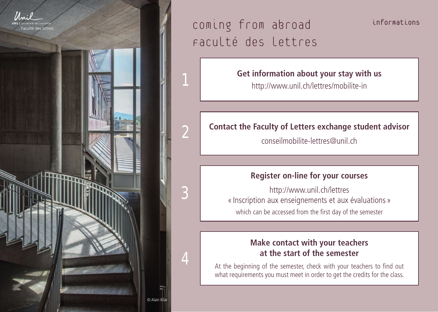



informations

#### **Get information about your stay with us**

http://www.unil.ch/lettres/mobilite-in

## **Contact the Faculty of Letters exchange student advisor**

conseilmobilite-lettres@unil.ch

#### **Register on-line for your courses**

http://www.unil.ch/lettres « Inscription aux enseignements et aux évaluations » which can be accessed from the first day of the semester

### **Make contact with your teachers at the start of the semester**

At the beginning of the semester, check with your teachers to find out what requirements you must meet in order to get the credits for the class.

 $@$  Alain

2

3

4